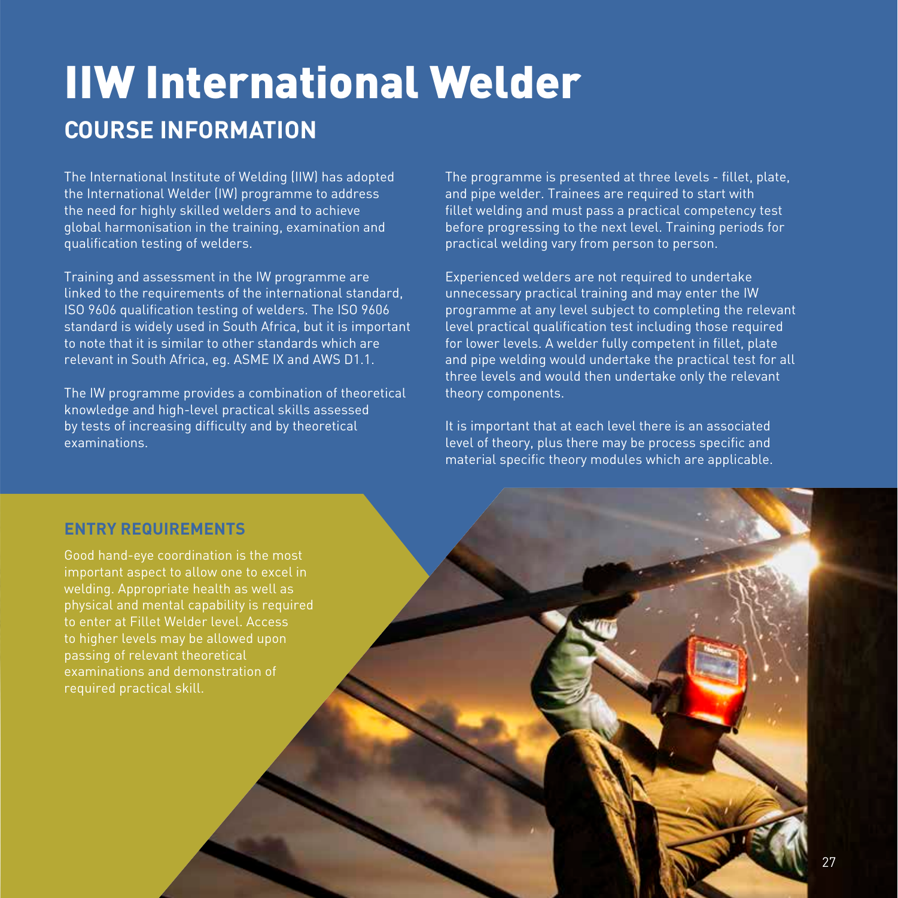# IIW International Welder **COURSE INFORMATION**

The International Institute of Welding (IIW) has adopted the International Welder (IW) programme to address the need for highly skilled welders and to achieve global harmonisation in the training, examination and qualification testing of welders.

Training and assessment in the IW programme are linked to the requirements of the international standard, ISO 9606 qualification testing of welders. The ISO 9606 standard is widely used in South Africa, but it is important to note that it is similar to other standards which are relevant in South Africa, eg. ASME IX and AWS D1.1.

The IW programme provides a combination of theoretical knowledge and high-level practical skills assessed by tests of increasing difficulty and by theoretical examinations.

The programme is presented at three levels - fillet, plate, and pipe welder. Trainees are required to start with fillet welding and must pass a practical competency test before progressing to the next level. Training periods for practical welding vary from person to person.

Experienced welders are not required to undertake unnecessary practical training and may enter the IW programme at any level subject to completing the relevant level practical qualification test including those required for lower levels. A welder fully competent in fillet, plate and pipe welding would undertake the practical test for all three levels and would then undertake only the relevant theory components.

It is important that at each level there is an associated level of theory, plus there may be process specific and material specific theory modules which are applicable.

### **ENTRY REQUIREMENTS**

Good hand-eye coordination is the most important aspect to allow one to excel in welding. Appropriate health as well as physical and mental capability is required to enter at Fillet Welder level. Access to higher levels may be allowed upon passing of relevant theoretical examinations and demonstration of required practical skill.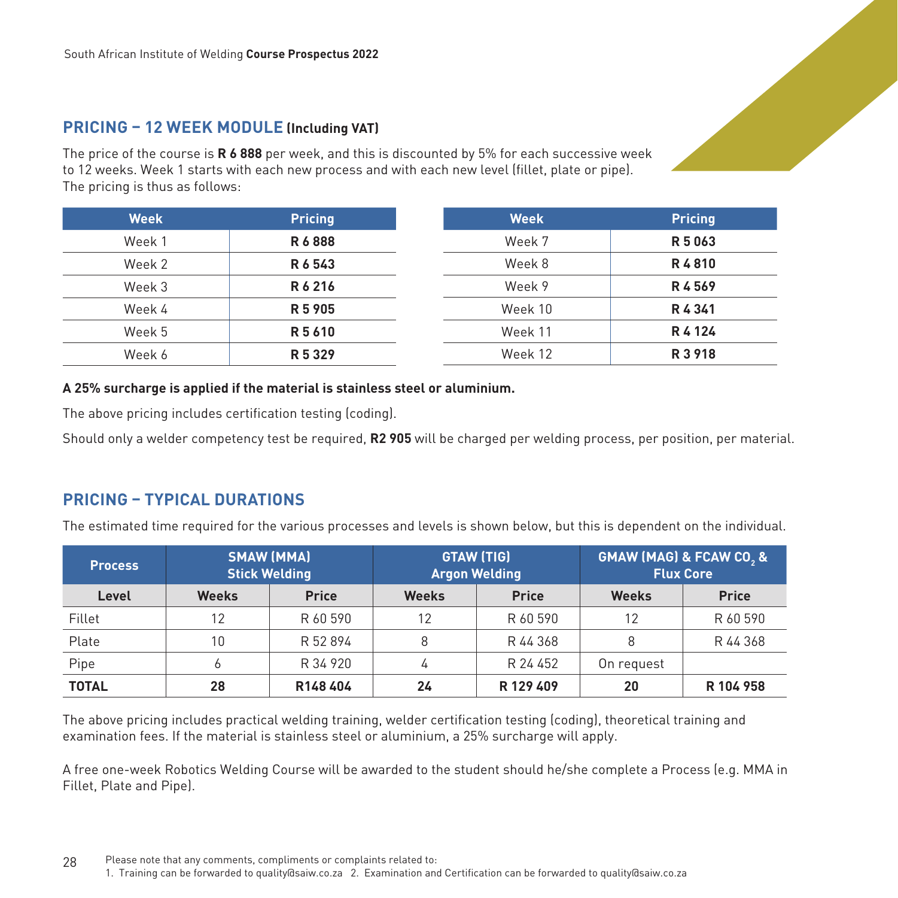## **PRICING – 12 WEEK MODULE (Including VAT)**

The price of the course is **R 6 888** per week, and this is discounted by 5% for each successive week to 12 weeks. Week 1 starts with each new process and with each new level (fillet, plate or pipe). The pricing is thus as follows:

| <b>Week</b> | <b>Pricing</b> | <b>Week</b> | <b>Pricing</b> |
|-------------|----------------|-------------|----------------|
| Week 1      | R6888          | Week 7      | R 5 0 6 3      |
| Week 2      | R6543          | Week 8      | R4810          |
| Week 3      | R6216          | Week 9      | R4569          |
| Week 4      | R 5 905        | Week 10     | R4341          |
| Week 5      | R 5 6 1 0      | Week 11     | R 4 1 2 4      |
| Week 6      | R 5 3 2 9      | Week 12     | R 3 9 18       |

#### **A 25% surcharge is applied if the material is stainless steel or aluminium.**

The above pricing includes certification testing (coding).

Should only a welder competency test be required, **R2 905** will be charged per welding process, per position, per material.

# **PRICING – TYPICAL DURATIONS**

The estimated time required for the various processes and levels is shown below, but this is dependent on the individual.

| <b>Process</b> | <b>SMAW (MMA)</b><br><b>Stick Welding</b> |              | <b>GTAW (TIG)</b><br><b>Argon Welding</b> |              | <b>GMAW (MAG) &amp; FCAW CO, &amp;</b><br><b>Flux Core</b> |              |
|----------------|-------------------------------------------|--------------|-------------------------------------------|--------------|------------------------------------------------------------|--------------|
| Level          | <b>Weeks</b>                              | <b>Price</b> | <b>Weeks</b>                              | <b>Price</b> | <b>Weeks</b>                                               | <b>Price</b> |
| Fillet         | 12                                        | R 60 590     | 12                                        | R 60 590     | 12                                                         | R 60 590     |
| Plate          | 10                                        | R 52 894     |                                           | R 44 368     | 8                                                          | R 44 368     |
| Pipe           |                                           | R 34 920     | 4                                         | R 24 452     | On request                                                 |              |
| <b>TOTAL</b>   | 28                                        | R148404      | 24                                        | R 129 409    | 20                                                         | R 104 958    |

The above pricing includes practical welding training, welder certification testing (coding), theoretical training and examination fees. If the material is stainless steel or aluminium, a 25% surcharge will apply.

A free one-week Robotics Welding Course will be awarded to the student should he/she complete a Process (e.g. MMA in Fillet, Plate and Pipe).